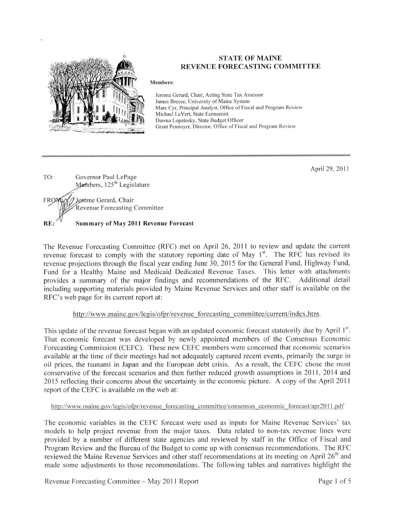

#### **STATE OF MAINE REVENUE FORECASTING COMMITTEE**

#### **Members:**

Jerome Gerard, Chair, Acting State Tax Assessor James Breece, University of Maine System Marc Cyr, Principal Analyst, Office of Fiscal and Program Review Michael LeVert, State Economist Dawna Lopatosky, State Budget Officer Grant Pennoyer, Director, Office of Fiscal and Program Review

April 29, 2011

TO: Governor Paul LePage Members, 125<sup>th</sup> Legislature Jerome Gerard, Chair **FRON** Revenue Forecasting Committee RE: Summary of May 2011 Revenue Forecast

The Revenue Forecasting Committee (RFC) met on April 26, 2011 to review and update the current revenue forecast to comply with the statutory reporting date of May 1<sup>st</sup>. The RFC has revised its revenue projections through the fiscal year ending June 30, 2015 for the General Fund, Highway Fund, Fund for a Healthy Maine and Medicaid Dedicated Revenue Taxes. This letter with attachments provides a summary of the major findings and recommendations of the RFC. Additional detail including supporting materials provided by Maine Revenue Services and other staff is available on the RFC's web page for its current report at:

#### http://www.maine.gov/legis/ofpr/revenue forecasting committee/current/index.htm.

This update of the revenue forecast began with an updated economic forecast statutorily due by April 1st. That economic forecast was developed by newly appointed members of the Consensus Economic Forecasting Commission (CEFC). These new CEFC members were concerned that economic scenarios available at the time of their meetings had not adequately captured recent events, primarily the surge in oil prices, the tsunami in Japan and the European debt crisis. As a result, the CEFC chose the most conservative of the forecast scenarios and then further reduced growth assumptions in 2011, 2014 and 2015 reflecting their concerns about the uncertainty in the economic picture. A copy of the April 2011 report of the CEFC is available on the web at:

#### http://www.maine.gov/legis/ofpr/revenue forecasting committee/consensus economic forecast/apr2011.pdf

The economic variables in the CEFC forecast were used as inputs for Maine Revenue Services' tax models to help project revenue from the major taxes. Data related to non-tax revenue lines were provided by a number of different state agencies and reviewed by staff in the Office of Fiscal and Program Review and the Bureau of the Budget to come up with consensus recommendations. The RFC reviewed the Maine Revenue Services and other staff recommendations at its meeting on April 26<sup>th</sup> and made some adjustments to those recommendations. The following tables and narratives highlight the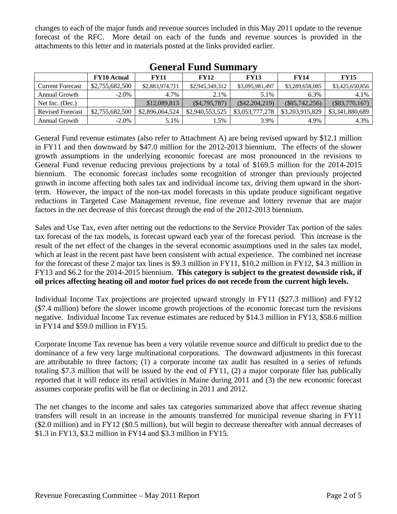changes to each of the major funds and revenue sources included in this May 2011 update to the revenue forecast of the RFC. More detail on each of the funds and revenue sources is provided in the attachments to this letter and in materials posted at the links provided earlier.

|                         | <b>FY10</b> Actual | <b>FY11</b>     | <b>FY12</b>     | <b>FY13</b>      | <b>FY14</b>      | <b>FY15</b>      |
|-------------------------|--------------------|-----------------|-----------------|------------------|------------------|------------------|
| Current Forecast        | \$2,755,682,500    | \$2,883,974,711 | \$2,945,349,312 | \$3,095,981,497  | \$3,289,658,085  | \$3,425,650,856  |
| Annual Growth           | $-2.0\%$           | 4.7%            | 2.1%            | 5.1%             | 6.3%             | 4.1%             |
| Net Inc. (Dec.)         |                    | \$12,089,813    | (S4, 795, 787)  | $(\$42,204,219)$ | $(\$85,742,256)$ | $(\$83,770,167)$ |
| <b>Revised Forecast</b> | \$2,755,682,500    | \$2,896,064,524 | \$2,940,553,525 | \$3,053,777,278  | \$3,203,915,829  | \$3,341,880,689  |
| Annual Growth           | $-2.0\%$           | 5.1%            | 1.5%            | 3.9%             | 4.9%             | 4.3%             |

### **General Fund Summary**

General Fund revenue estimates (also refer to Attachment A) are being revised upward by \$12.1 million in FY11 and then downward by \$47.0 million for the 2012-2013 biennium. The effects of the slower growth assumptions in the underlying economic forecast are most pronounced in the revisions to General Fund revenue reducing previous projections by a total of \$169.5 million for the 2014-2015 biennium. The economic forecast includes some recognition of stronger than previously projected growth in income affecting both sales tax and individual income tax, driving them upward in the shortterm. However, the impact of the non-tax model forecasts in this update produce significant negative reductions in Targeted Case Management revenue, fine revenue and lottery revenue that are major factors in the net decrease of this forecast through the end of the 2012-2013 biennium.

Sales and Use Tax, even after netting out the reductions to the Service Provider Tax portion of the sales tax forecast of the tax models, is forecast upward each year of the forecast period. This increase is the result of the net effect of the changes in the several economic assumptions used in the sales tax model, which at least in the recent past have been consistent with actual experience. The combined net increase for the forecast of these 2 major tax lines is \$9.3 million in FY11, \$10.2 million in FY12, \$4.3 million in FY13 and \$6.2 for the 2014-2015 biennium. **This category is subject to the greatest downside risk, if oil prices affecting heating oil and motor fuel prices do not recede from the current high levels.**

Individual Income Tax projections are projected upward strongly in FY11 (\$27.3 million) and FY12 (\$7.4 million) before the slower income growth projections of the economic forecast turn the revisions negative. Individual Income Tax revenue estimates are reduced by \$14.3 million in FY13, \$58.6 million in FY14 and \$59.0 million in FY15.

Corporate Income Tax revenue has been a very volatile revenue source and difficult to predict due to the dominance of a few very large multinational corporations. The downward adjustments in this forecast are attributable to three factors; (1) a corporate income tax audit has resulted in a series of refunds totaling \$7.3 million that will be issued by the end of FY11, (2) a major corporate filer has publically reported that it will reduce its retail activities in Maine during 2011 and (3) the new economic forecast assumes corporate profits will be flat or declining in 2011 and 2012.

The net changes to the income and sales tax categories summarized above that affect revenue sharing transfers will result in an increase in the amounts transferred for municipal revenue sharing in FY11 (\$2.0 million) and in FY12 (\$0.5 million), but will begin to decrease thereafter with annual decreases of \$1.3 in FY13, \$3.2 million in FY14 and \$3.3 million in FY15.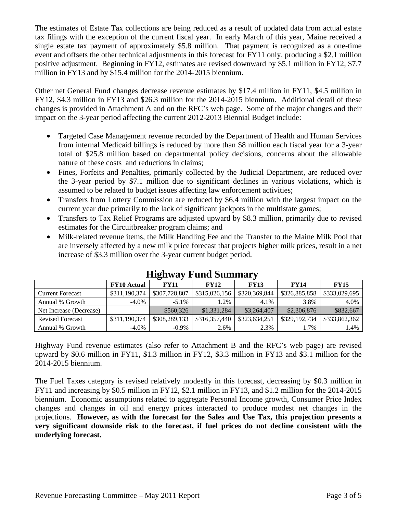The estimates of Estate Tax collections are being reduced as a result of updated data from actual estate tax filings with the exception of the current fiscal year. In early March of this year, Maine received a single estate tax payment of approximately \$5.8 million. That payment is recognized as a one-time event and offsets the other technical adjustments in this forecast for FY11 only, producing a \$2.1 million positive adjustment. Beginning in FY12, estimates are revised downward by \$5.1 million in FY12, \$7.7 million in FY13 and by \$15.4 million for the 2014-2015 biennium.

Other net General Fund changes decrease revenue estimates by \$17.4 million in FY11, \$4.5 million in FY12, \$4.3 million in FY13 and \$26.3 million for the 2014-2015 biennium. Additional detail of these changes is provided in Attachment A and on the RFC's web page. Some of the major changes and their impact on the 3-year period affecting the current 2012-2013 Biennial Budget include:

- Targeted Case Management revenue recorded by the Department of Health and Human Services from internal Medicaid billings is reduced by more than \$8 million each fiscal year for a 3-year total of \$25.8 million based on departmental policy decisions, concerns about the allowable nature of these costs and reductions in claims;
- Fines, Forfeits and Penalties, primarily collected by the Judicial Department, are reduced over the 3-year period by \$7.1 million due to significant declines in various violations, which is assumed to be related to budget issues affecting law enforcement activities;
- Transfers from Lottery Commission are reduced by \$6.4 million with the largest impact on the current year due primarily to the lack of significant jackpots in the multistate games;
- Transfers to Tax Relief Programs are adjusted upward by \$8.3 million, primarily due to revised estimates for the Circuitbreaker program claims; and
- Milk-related revenue items, the Milk Handling Fee and the Transfer to the Maine Milk Pool that are inversely affected by a new milk price forecast that projects higher milk prices, result in a net increase of \$3.3 million over the 3-year current budget period.

|                         | <b>FY10 Actual</b> | <b>FY11</b>   | <b>FY12</b>   | <b>FY13</b>   | <b>FY14</b>   | <b>FY15</b>   |
|-------------------------|--------------------|---------------|---------------|---------------|---------------|---------------|
| <b>Current Forecast</b> | \$311,190,374      | \$307,728,807 | \$315,026,156 | \$320,369,844 | \$326,885,858 | \$333,029,695 |
| Annual % Growth         | $-4.0\%$           | $-5.1\%$      | $2\%$         | 4.1%          | 3.8%          | 4.0%          |
| Net Increase (Decrease) |                    | \$560,326     | \$1,331,284   | \$3,264,407   | \$2,306,876   | \$832,667     |
| <b>Revised Forecast</b> | \$311,190,374      | \$308,289,133 | \$316,357,440 | \$323,634,251 | \$329,192,734 | \$333,862,362 |
| Annual % Growth         | $-4.0\%$           | $-0.9\%$      | 2.6%          | 2.3%          | $.7\%$        | 1.4%          |

## **Highway Fund Summary**

Highway Fund revenue estimates (also refer to Attachment B and the RFC's web page) are revised upward by \$0.6 million in FY11, \$1.3 million in FY12, \$3.3 million in FY13 and \$3.1 million for the 2014-2015 biennium.

The Fuel Taxes category is revised relatively modestly in this forecast, decreasing by \$0.3 million in FY11 and increasing by \$0.5 million in FY12, \$2.1 million in FY13, and \$1.2 million for the 2014-2015 biennium. Economic assumptions related to aggregate Personal Income growth, Consumer Price Index changes and changes in oil and energy prices interacted to produce modest net changes in the projections. **However, as with the forecast for the Sales and Use Tax, this projection presents a very significant downside risk to the forecast, if fuel prices do not decline consistent with the underlying forecast.**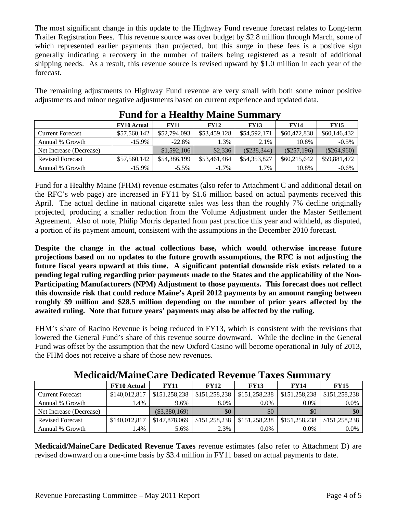The most significant change in this update to the Highway Fund revenue forecast relates to Long-term Trailer Registration Fees. This revenue source was over budget by \$2.8 million through March, some of which represented earlier payments than projected, but this surge in these fees is a positive sign generally indicating a recovery in the number of trailers being registered as a result of additional shipping needs. As a result, this revenue source is revised upward by \$1.0 million in each year of the forecast.

The remaining adjustments to Highway Fund revenue are very small with both some minor positive adjustments and minor negative adjustments based on current experience and updated data.

|                         | <b>FY10</b> Actual | <b>FY11</b>  | <b>FY12</b>  | <b>FY13</b>   | <b>FY14</b>   | <b>FY15</b>   |
|-------------------------|--------------------|--------------|--------------|---------------|---------------|---------------|
| <b>Current Forecast</b> | \$57,560,142       | \$52,794,093 | \$53,459,128 | \$54,592,171  | \$60,472,838  | \$60,146,432  |
| Annual % Growth         | $-15.9\%$          | $-22.8%$     | .3%          | 2.1%          | 10.8%         | $-0.5%$       |
| Net Increase (Decrease) |                    | \$1,592,106  | \$2,336      | $(\$238,344)$ | $(\$257,196)$ | $(\$264,960)$ |
| <b>Revised Forecast</b> | \$57,560,142       | \$54,386,199 | \$53,461,464 | \$54,353,827  | \$60,215,642  | \$59,881,472  |
| Annual % Growth         | $-15.9\%$          | $-5.5\%$     | $-1.7\%$     | $.7\%$        | 10.8%         | $-0.6\%$      |

## **Fund for a Healthy Maine Summary**

Fund for a Healthy Maine (FHM) revenue estimates (also refer to Attachment C and additional detail on the RFC's web page) are increased in FY11 by \$1.6 million based on actual payments received this April. The actual decline in national cigarette sales was less than the roughly 7% decline originally projected, producing a smaller reduction from the Volume Adjustment under the Master Settlement Agreement. Also of note, Philip Morris departed from past practice this year and withheld, as disputed, a portion of its payment amount, consistent with the assumptions in the December 2010 forecast.

**Despite the change in the actual collections base, which would otherwise increase future projections based on no updates to the future growth assumptions, the RFC is not adjusting the future fiscal years upward at this time. A significant potential downside risk exists related to a pending legal ruling regarding prior payments made to the States and the applicability of the Non-Participating Manufacturers (NPM) Adjustment to those payments. This forecast does not reflect this downside risk that could reduce Maine's April 2012 payments by an amount ranging between roughly \$9 million and \$28.5 million depending on the number of prior years affected by the awaited ruling. Note that future years' payments may also be affected by the ruling.** 

FHM's share of Racino Revenue is being reduced in FY13, which is consistent with the revisions that lowered the General Fund's share of this revenue source downward. While the decline in the General Fund was offset by the assumption that the new Oxford Casino will become operational in July of 2013, the FHM does not receive a share of those new revenues.

|                         | ivicuicalu/ivialileCate Deulcated Revellue Taxes Sullilliai v |                 |               |               |               |               |  |  |  |  |  |  |  |
|-------------------------|---------------------------------------------------------------|-----------------|---------------|---------------|---------------|---------------|--|--|--|--|--|--|--|
|                         | <b>FY10</b> Actual                                            | <b>FY11</b>     | <b>FY12</b>   | <b>FY13</b>   | <b>FY14</b>   | <b>FY15</b>   |  |  |  |  |  |  |  |
| <b>Current Forecast</b> | \$140,012,817                                                 | \$151,258,238   | \$151,258,238 | \$151,258,238 | \$151,258,238 | \$151,258,238 |  |  |  |  |  |  |  |
| Annual % Growth         | .4%                                                           | 9.6%            | 8.0%          | $0.0\%$       | $0.0\%$       | 0.0%          |  |  |  |  |  |  |  |
| Net Increase (Decrease) |                                                               | $(\$3,380,169)$ | \$0           | \$0           | \$0           | \$0           |  |  |  |  |  |  |  |
| <b>Revised Forecast</b> | \$140,012,817                                                 | \$147,878,069   | \$151,258,238 | \$151,258,238 | \$151,258,238 | \$151,258,238 |  |  |  |  |  |  |  |
| Annual % Growth         | .4%                                                           | 5.6%            | 2.3%          | $0.0\%$       | $0.0\%$       | $0.0\%$       |  |  |  |  |  |  |  |

### **Medicaid/MaineCare Dedicated Revenue Taxes Summary**

**Medicaid/MaineCare Dedicated Revenue Taxes** revenue estimates (also refer to Attachment D) are revised downward on a one-time basis by \$3.4 million in FY11 based on actual payments to date.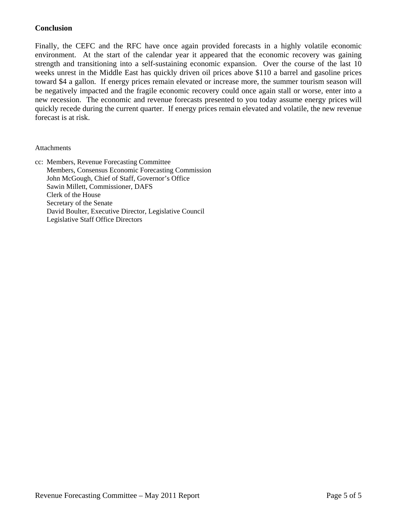### **Conclusion**

Finally, the CEFC and the RFC have once again provided forecasts in a highly volatile economic environment. At the start of the calendar year it appeared that the economic recovery was gaining strength and transitioning into a self-sustaining economic expansion. Over the course of the last 10 weeks unrest in the Middle East has quickly driven oil prices above \$110 a barrel and gasoline prices toward \$4 a gallon. If energy prices remain elevated or increase more, the summer tourism season will be negatively impacted and the fragile economic recovery could once again stall or worse, enter into a new recession. The economic and revenue forecasts presented to you today assume energy prices will quickly recede during the current quarter. If energy prices remain elevated and volatile, the new revenue forecast is at risk.

#### Attachments

cc: Members, Revenue Forecasting Committee Members, Consensus Economic Forecasting Commission John McGough, Chief of Staff, Governor's Office Sawin Millett, Commissioner, DAFS Clerk of the House Secretary of the Senate David Boulter, Executive Director, Legislative Council Legislative Staff Office Directors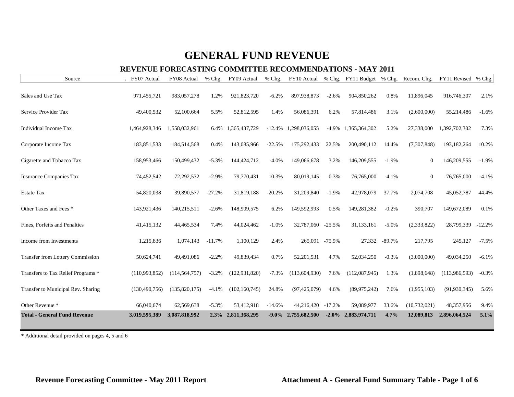### **REVENUE FORECASTING COMMITTEE RECOMMENDATIONS - MAY 2011**

| Source                                  | FY07 Actual     | FY08 Actual     | % Chg.   | FY09 Actual     | % Chg.   |                |          | FY10 Actual % Chg. FY11 Budget % Chg. |          | Recom. Chg.    | FY11 Revised % Chg. |          |
|-----------------------------------------|-----------------|-----------------|----------|-----------------|----------|----------------|----------|---------------------------------------|----------|----------------|---------------------|----------|
| Sales and Use Tax                       | 971,455,721     | 983,057,278     | 1.2%     | 921,823,720     | $-6.2%$  | 897,938,873    | $-2.6%$  | 904,850,262                           | 0.8%     | 11,896,045     | 916,746,307         | 2.1%     |
| Service Provider Tax                    | 49,400,532      | 52,100,664      | 5.5%     | 52,812,595      | 1.4%     | 56,086,391     | 6.2%     | 57,814,486                            | 3.1%     | (2,600,000)    | 55,214,486          | $-1.6%$  |
| Individual Income Tax                   | 1,464,928,346   | 1,558,032,961   | 6.4%     | 1,365,437,729   | $-12.4%$ | 1,298,036,055  | $-4.9\%$ | 1,365,364,302                         | 5.2%     | 27,338,000     | 1,392,702,302       | 7.3%     |
| Corporate Income Tax                    | 183,851,533     | 184,514,568     | 0.4%     | 143,085,966     | $-22.5%$ | 175,292,433    | 22.5%    | 200,490,112                           | 14.4%    | (7,307,848)    | 193,182,264         | 10.2%    |
| Cigarette and Tobacco Tax               | 158,953,466     | 150,499,432     | $-5.3%$  | 144,424,712     | $-4.0%$  | 149,066,678    | 3.2%     | 146,209,555                           | $-1.9%$  | $\mathbf{0}$   | 146,209,555         | $-1.9%$  |
| <b>Insurance Companies Tax</b>          | 74,452,542      | 72,292,532      | $-2.9%$  | 79,770,431      | 10.3%    | 80,019,145     | 0.3%     | 76,765,000                            | $-4.1%$  | $\theta$       | 76,765,000          | $-4.1%$  |
| <b>Estate Tax</b>                       | 54,820,038      | 39,890,577      | $-27.2%$ | 31,819,188      | $-20.2%$ | 31,209,840     | $-1.9%$  | 42,978,079                            | 37.7%    | 2,074,708      | 45,052,787          | 44.4%    |
| Other Taxes and Fees *                  | 143,921,436     | 140,215,511     | $-2.6%$  | 148,909,575     | 6.2%     | 149,592,993    | 0.5%     | 149,281,382                           | $-0.2%$  | 390,707        | 149,672,089         | 0.1%     |
| Fines, Forfeits and Penalties           | 41,415,132      | 44,465,534      | 7.4%     | 44,024,462      | $-1.0%$  | 32,787,060     | $-25.5%$ | 31,133,161                            | $-5.0%$  | (2,333,822)    | 28,799,339          | $-12.2%$ |
| Income from Investments                 | 1,215,836       | 1,074,143       | $-11.7%$ | 1,100,129       | 2.4%     | 265,091 -75.9% |          | 27,332                                | $-89.7%$ | 217,795        | 245,127             | $-7.5%$  |
| <b>Transfer from Lottery Commission</b> | 50,624,741      | 49,491,086      | $-2.2%$  | 49,839,434      | 0.7%     | 52, 201, 531   | 4.7%     | 52,034,250                            | $-0.3%$  | (3,000,000)    | 49,034,250          | $-6.1%$  |
| Transfers to Tax Relief Programs *      | (110,993,852)   | (114, 564, 757) | $-3.2%$  | (122, 931, 820) | $-7.3%$  | (113,604,930)  | 7.6%     | (112,087,945)                         | 1.3%     | (1,898,648)    | (113,986,593)       | $-0.3%$  |
| Transfer to Municipal Rev. Sharing      | (130, 490, 756) | (135,820,175)   | $-4.1%$  | (102, 160, 745) | 24.8%    | (97, 425, 079) | 4.6%     | (89, 975, 242)                        | 7.6%     | (1,955,103)    | (91, 930, 345)      | 5.6%     |
| Other Revenue *                         | 66,040,674      | 62,569,638      | $-5.3%$  | 53,412,918      | $-14.6%$ | 44,216,420     | $-17.2%$ | 59,089,977                            | 33.6%    | (10, 732, 021) | 48,357,956          | 9.4%     |
| <b>Total - General Fund Revenue</b>     | 3,019,595,389   | 3,087,818,992   | 2.3%     | 2,811,368,295   | $-9.0\%$ | 2,755,682,500  | $-2.0\%$ | 2,883,974,711                         | 4.7%     | 12,089,813     | 2,896,064,524       | 5.1%     |

\* Additional detail provided on pages 4, 5 and 6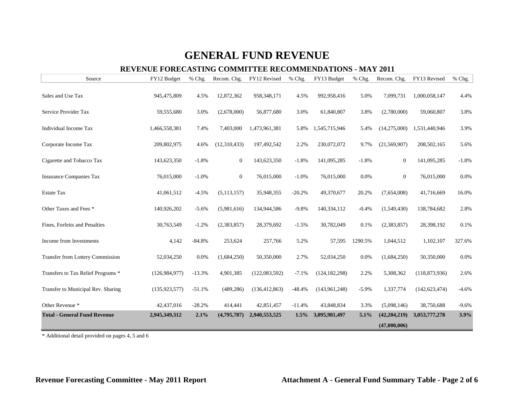### **REVENUE FORECASTING COMMITTEE RECOMMENDATIONS - MAY 2011**

| Source                              | FY12 Budget     | % Chg.   | Recom. Chg.      | FY12 Revised    | % Chg.   | FY13 Budget     | % Chg.  | Recom. Chg.    | FY13 Revised    | % Chg.  |
|-------------------------------------|-----------------|----------|------------------|-----------------|----------|-----------------|---------|----------------|-----------------|---------|
| Sales and Use Tax                   | 945,475,809     | 4.5%     | 12,872,362       | 958,348,171     | 4.5%     | 992,958,416     | 5.0%    | 7,099,731      | 1,000,058,147   | 4.4%    |
| Service Provider Tax                | 59,555,680      | 3.0%     | (2,678,000)      | 56,877,680      | 3.0%     | 61,840,807      | 3.8%    | (2,780,000)    | 59,060,807      | 3.8%    |
| Individual Income Tax               | 1,466,558,381   | 7.4%     | 7,403,000        | 1,473,961,381   | 5.8%     | 1,545,715,946   | 5.4%    | (14,275,000)   | 1,531,440,946   | 3.9%    |
| Corporate Income Tax                | 209,802,975     | 4.6%     | (12,310,433)     | 197,492,542     | 2.2%     | 230,072,072     | 9.7%    | (21, 569, 907) | 208, 502, 165   | 5.6%    |
| Cigarette and Tobacco Tax           | 143,623,350     | $-1.8%$  | $\boldsymbol{0}$ | 143,623,350     | $-1.8%$  | 141,095,285     | $-1.8%$ | $\overline{0}$ | 141,095,285     | $-1.8%$ |
| <b>Insurance Companies Tax</b>      | 76,015,000      | $-1.0%$  | $\boldsymbol{0}$ | 76,015,000      | $-1.0%$  | 76,015,000      | 0.0%    | $\overline{0}$ | 76,015,000      | 0.0%    |
| <b>Estate Tax</b>                   | 41,061,512      | $-4.5%$  | (5, 113, 157)    | 35,948,355      | $-20.2%$ | 49,370,677      | 20.2%   | (7,654,008)    | 41,716,669      | 16.0%   |
| Other Taxes and Fees *              | 140,926,202     | $-5.6%$  | (5,981,616)      | 134,944,586     | $-9.8%$  | 140,334,112     | $-0.4%$ | (1,549,430)    | 138,784,682     | 2.8%    |
| Fines, Forfeits and Penalties       | 30,763,549      | $-1.2%$  | (2, 383, 857)    | 28,379,692      | $-1.5%$  | 30,782,049      | 0.1%    | (2,383,857)    | 28,398,192      | 0.1%    |
| Income from Investments             | 4,142           | $-84.8%$ | 253,624          | 257,766         | 5.2%     | 57,595          | 1290.5% | 1,044,512      | 1,102,107       | 327.6%  |
| Transfer from Lottery Commission    | 52,034,250      | 0.0%     | (1,684,250)      | 50,350,000      | 2.7%     | 52,034,250      | 0.0%    | (1,684,250)    | 50,350,000      | 0.0%    |
| Transfers to Tax Relief Programs *  | (126, 984, 977) | $-13.3%$ | 4,901,385        | (122,083,592)   | $-7.1%$  | (124, 182, 298) | 2.2%    | 5,308,362      | (118, 873, 936) | 2.6%    |
| Transfer to Municipal Rev. Sharing  | (135, 923, 577) | $-51.1%$ | (489, 286)       | (136, 412, 863) | $-48.4%$ | (143, 961, 248) | $-5.9%$ | 1,337,774      | (142, 623, 474) | $-4.6%$ |
| Other Revenue *                     | 42,437,016      | $-28.2%$ | 414,441          | 42,851,457      | $-11.4%$ | 43,848,834      | 3.3%    | (5,098,146)    | 38,750,688      | $-9.6%$ |
| <b>Total - General Fund Revenue</b> | 2,945,349,312   | 2.1%     | (4,795,787)      | 2,940,553,525   | $1.5\%$  | 3,095,981,497   | 5.1%    | (42, 204, 219) | 3,053,777,278   | 3.9%    |
|                                     |                 |          |                  |                 |          |                 |         | (47,000,006)   |                 |         |

\* Additional detail provided on pages 4, 5 and 6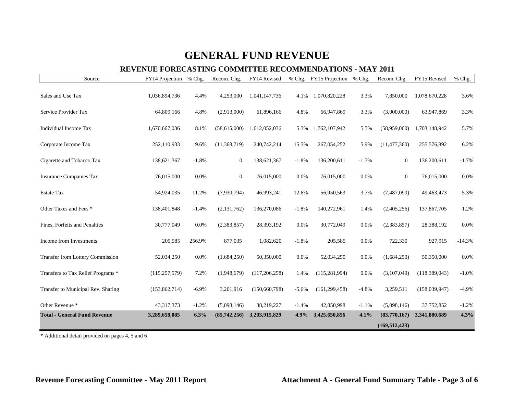### **REVENUE FORECASTING COMMITTEE RECOMMENDATIONS - MAY 2011**

| Source                              | FY14 Projection | % Chg.   | Recom. Chg.      | FY14 Revised    |         | % Chg. FY15 Projection % Chg. |         | Recom. Chg.     | FY15 Revised    | % Chg.   |
|-------------------------------------|-----------------|----------|------------------|-----------------|---------|-------------------------------|---------|-----------------|-----------------|----------|
| Sales and Use Tax                   | 1,036,894,736   | 4.4%     | 4,253,000        | 1,041,147,736   | 4.1%    | 1,070,820,228                 | 3.3%    | 7,850,000       | 1,078,670,228   | 3.6%     |
| Service Provider Tax                | 64,809,166      | 4.8%     | (2,913,000)      | 61,896,166      | 4.8%    | 66,947,869                    | 3.3%    | (3,000,000)     | 63,947,869      | 3.3%     |
| Individual Income Tax               | 1,670,667,036   | 8.1%     | (58,615,000)     | 1,612,052,036   | 5.3%    | 1,762,107,942                 | 5.5%    | (58,959,000)    | 1,703,148,942   | 5.7%     |
| Corporate Income Tax                | 252,110,933     | 9.6%     | (11, 368, 719)   | 240,742,214     | 15.5%   | 267,054,252                   | 5.9%    | (11, 477, 360)  | 255,576,892     | 6.2%     |
| Cigarette and Tobacco Tax           | 138,621,367     | $-1.8%$  | $\boldsymbol{0}$ | 138,621,367     | $-1.8%$ | 136,200,611                   | $-1.7%$ | $\mathbf{0}$    | 136,200,611     | $-1.7%$  |
| <b>Insurance Companies Tax</b>      | 76,015,000      | 0.0%     | $\boldsymbol{0}$ | 76,015,000      | 0.0%    | 76,015,000                    | 0.0%    | $\mathbf{0}$    | 76,015,000      | 0.0%     |
| <b>Estate Tax</b>                   | 54,924,035      | 11.2%    | (7,930,794)      | 46,993,241      | 12.6%   | 56,950,563                    | 3.7%    | (7,487,090)     | 49,463,473      | 5.3%     |
| Other Taxes and Fees *              | 138,401,848     | $-1.4%$  | (2, 131, 762)    | 136,270,086     | $-1.8%$ | 140,272,961                   | 1.4%    | (2,405,256)     | 137,867,705     | 1.2%     |
| Fines, Forfeits and Penalties       | 30,777,049      | 0.0%     | (2,383,857)      | 28,393,192      | 0.0%    | 30,772,049                    | 0.0%    | (2,383,857)     | 28,388,192      | 0.0%     |
| Income from Investments             | 205,585         | 256.9%   | 877,035          | 1,082,620       | $-1.8%$ | 205,585                       | 0.0%    | 722,330         | 927,915         | $-14.3%$ |
| Transfer from Lottery Commission    | 52,034,250      | 0.0%     | (1,684,250)      | 50,350,000      | 0.0%    | 52,034,250                    | 0.0%    | (1,684,250)     | 50,350,000      | 0.0%     |
| Transfers to Tax Relief Programs *  | (115, 257, 579) | 7.2%     | (1,948,679)      | (117, 206, 258) | 1.4%    | (115, 281, 994)               | 0.0%    | (3,107,049)     | (118, 389, 043) | $-1.0%$  |
| Transfer to Municipal Rev. Sharing  | (153, 862, 714) | $-6.9\%$ | 3,201,916        | (150, 660, 798) | $-5.6%$ | (161, 299, 458)               | $-4.8%$ | 3,259,511       | (158,039,947)   | $-4.9%$  |
| Other Revenue *                     | 43, 317, 373    | $-1.2%$  | (5,098,146)      | 38,219,227      | $-1.4%$ | 42,850,998                    | $-1.1%$ | (5,098,146)     | 37,752,852      | $-1.2%$  |
| <b>Total - General Fund Revenue</b> | 3,289,658,085   | 6.3%     | (85,742,256)     | 3,203,915,829   | 4.9%    | 3,425,650,856                 | 4.1%    | (83,770,167)    | 3,341,880,689   | 4.3%     |
|                                     |                 |          |                  |                 |         |                               |         | (169, 512, 423) |                 |          |

\* Additional detail provided on pages 4, 5 and 6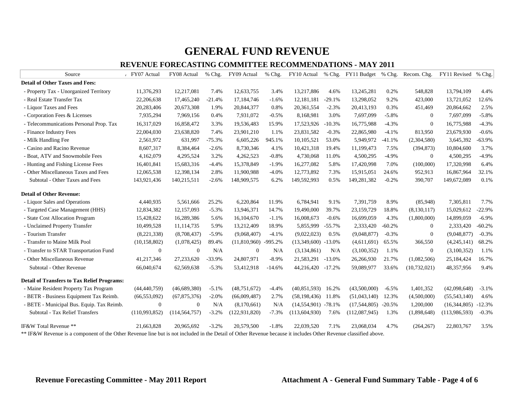| Source                                                                                                                                                          | FY07 Actual    | FY08 Actual     | % Chg.   | FY09 Actual     | % Chg.    |                       |          | FY10 Actual % Chg. FY11 Budget % Chg. Recom. Chg. |          |                | FY11 Revised % Chg. |          |
|-----------------------------------------------------------------------------------------------------------------------------------------------------------------|----------------|-----------------|----------|-----------------|-----------|-----------------------|----------|---------------------------------------------------|----------|----------------|---------------------|----------|
| <b>Detail of Other Taxes and Fees:</b>                                                                                                                          |                |                 |          |                 |           |                       |          |                                                   |          |                |                     |          |
| - Property Tax - Unorganized Territory                                                                                                                          | 11,376,293     | 12,217,081      | 7.4%     | 12,633,755      | 3.4%      | 13,217,886            | 4.6%     | 13,245,281                                        | 0.2%     | 548,828        | 13,794,109          | 4.4%     |
| - Real Estate Transfer Tax                                                                                                                                      | 22,206,638     | 17,465,240      | $-21.4%$ | 17,184,746      | $-1.6%$   | 12,181,181            | $-29.1%$ | 13,298,052                                        | 9.2%     | 423,000        | 13,721,052          | 12.6%    |
| - Liquor Taxes and Fees                                                                                                                                         | 20,283,406     | 20,673,308      | 1.9%     | 20,844,377      | 0.8%      | 20,361,554            | $-2.3%$  | 20,413,193                                        | 0.3%     | 451,469        | 20,864,662          | 2.5%     |
| - Corporation Fees & Licenses                                                                                                                                   | 7,935,294      | 7,969,156       | 0.4%     | 7,931,072       | $-0.5%$   | 8,168,981             | 3.0%     | 7,697,099                                         | $-5.8%$  | $\overline{0}$ | 7,697,099           | $-5.8%$  |
| - Telecommunications Personal Prop. Tax                                                                                                                         | 16,317,029     | 16,858,472      | 3.3%     | 19,536,483      | 15.9%     | 17,523,926            | $-10.3%$ | 16,775,988                                        | $-4.3%$  | $\mathbf{0}$   | 16,775,988          | $-4.3%$  |
| - Finance Industry Fees                                                                                                                                         | 22,004,030     | 23,638,820      | 7.4%     | 23,901,210      | 1.1%      | 23,831,582            | $-0.3%$  | 22,865,980                                        | $-4.1%$  | 813,950        | 23,679,930          | $-0.6%$  |
| - Milk Handling Fee                                                                                                                                             | 2,561,972      | 631,997         | $-75.3%$ | 6,605,226       | 945.1%    | 10,105,521            | 53.0%    | 5,949,972                                         | $-41.1%$ | (2,304,580)    | 3,645,392           | $-63.9%$ |
| - Casino and Racino Revenue                                                                                                                                     | 8,607,317      | 8,384,464       | $-2.6%$  | 8,730,346       | 4.1%      | 10,421,318            | 19.4%    | 11,199,473                                        | 7.5%     | (394, 873)     | 10,804,600          | 3.7%     |
| - Boat, ATV and Snowmobile Fees                                                                                                                                 | 4,162,079      | 4,295,524       | 3.2%     | 4,262,523       | $-0.8%$   | 4,730,068             | 11.0%    | 4,500,295                                         | $-4.9%$  | $\overline{0}$ | 4,500,295           | $-4.9%$  |
| - Hunting and Fishing License Fees                                                                                                                              | 16,401,841     | 15,683,316      | $-4.4%$  | 15,378,849      | $-1.9%$   | 16,277,082            | 5.8%     | 17,420,998                                        | 7.0%     | (100,000)      | 17,320,998          | 6.4%     |
| - Other Miscellaneous Taxes and Fees                                                                                                                            | 12,065,538     | 12,398,134      | 2.8%     | 11,900,988      | $-4.0%$   | 12,773,892            | 7.3%     | 15,915,051                                        | 24.6%    | 952,913        | 16,867,964          | 32.1%    |
| Subtotal - Other Taxes and Fees                                                                                                                                 | 143,921,436    | 140,215,511     | $-2.6%$  | 148,909,575     | 6.2%      | 149,592,993           | 0.5%     | 149,281,382                                       | $-0.2%$  | 390,707        | 149,672,089         | 0.1%     |
| <b>Detail of Other Revenue:</b>                                                                                                                                 |                |                 |          |                 |           |                       |          |                                                   |          |                |                     |          |
| - Liquor Sales and Operations                                                                                                                                   | 4,440,935      | 5,561,666       | 25.2%    | 6,220,864       | 11.9%     | 6,784,941             | 9.1%     | 7,391,759                                         | 8.9%     | (85,948)       | 7,305,811           | 7.7%     |
| - Targeted Case Management (HHS)                                                                                                                                | 12,834,382     | 12,157,093      | $-5.3%$  | 13,946,371      | 14.7%     | 19,490,000            | 39.7%    | 23,159,729                                        | 18.8%    | (8, 130, 117)  | 15,029,612          | $-22.9%$ |
| - State Cost Allocation Program                                                                                                                                 | 15,428,622     | 16,289,386      | 5.6%     | 16,104,670      | $-1.1%$   | 16,008,673            | $-0.6%$  | 16,699,059                                        | 4.3%     | (1,800,000)    | 14,899,059          | $-6.9%$  |
| - Unclaimed Property Transfer                                                                                                                                   | 10,499,528     | 11,114,735      | 5.9%     | 13,212,409      | 18.9%     | 5,855,999             | $-55.7%$ | 2,333,420                                         | $-60.2%$ | $\theta$       | 2,333,420           | $-60.2%$ |
| - Tourism Transfer                                                                                                                                              | (8,221,338)    | (8,708,437)     | $-5.9%$  | (9,068,407)     | $-4.1%$   | (9,022,023)           | 0.5%     | (9,048,877)                                       | $-0.3%$  | $\mathbf{0}$   | (9,048,877)         | $-0.3%$  |
| - Transfer to Maine Milk Pool                                                                                                                                   | (10, 158, 802) | (1,078,425)     | 89.4%    | (11,810,960)    | $-995.2%$ | $(13,349,600)$ -13.0% |          | (4,611,691)                                       | 65.5%    | 366,550        | (4,245,141)         | 68.2%    |
| - Transfer to STAR Transportation Fund                                                                                                                          | $\mathbf{0}$   | $\mathbf{0}$    | N/A      | $\theta$        | N/A       | (3,134,861)           | N/A      | (3,100,352)                                       | 1.1%     | $\overline{0}$ | (3,100,352)         | 1.1%     |
| - Other Miscellaneous Revenue                                                                                                                                   | 41,217,346     | 27,233,620      | $-33.9%$ | 24,807,971      | $-8.9\%$  | 21,583,291            | $-13.0%$ | 26,266,930                                        | 21.7%    | (1,082,506)    | 25,184,424          | 16.7%    |
| Subtotal - Other Revenue                                                                                                                                        | 66,040,674     | 62,569,638      | $-5.3%$  | 53,412,918      | $-14.6%$  | 44,216,420            | $-17.2%$ | 59,089,977                                        | 33.6%    | (10, 732, 021) | 48,357,956          | 9.4%     |
| <b>Detail of Transfers to Tax Relief Programs:</b>                                                                                                              |                |                 |          |                 |           |                       |          |                                                   |          |                |                     |          |
| - Maine Resident Property Tax Program                                                                                                                           | (44, 440, 759) | (46,689,380)    | $-5.1%$  | (48, 751, 672)  | $-4.4%$   | (40, 851, 593)        | 16.2%    | (43,500,000)                                      | $-6.5%$  | 1,401,352      | (42,098,648)        | $-3.1%$  |
| - BETR - Business Equipment Tax Reimb.                                                                                                                          | (66, 553, 092) | (67,875,376)    | $-2.0%$  | (66,009,487)    | 2.7%      | (58, 198, 436)        | 11.8%    | (51,043,140)                                      | 12.3%    | (4,500,000)    | (55,543,140)        | 4.6%     |
| - BETE - Municipal Bus. Equip. Tax Reimb.                                                                                                                       | $\mathbf{0}$   | $\mathbf{0}$    | N/A      | (8,170,661)     | N/A       | $(14,554,901)$ -78.1% |          | $(17,544,805)$ -20.5%                             |          | 1,200,000      | (16,344,805)        | $-12.3%$ |
| Subtotal - Tax Relief Transfers                                                                                                                                 | (110,993,852)  | (114, 564, 757) | $-3.2%$  | (122, 931, 820) | $-7.3%$   | (113, 604, 930)       | 7.6%     | (112,087,945)                                     | 1.3%     | (1,898,648)    | (113,986,593)       | $-0.3%$  |
| IF&W Total Revenue **                                                                                                                                           | 21,663,828     | 20,965,692      | $-3.2%$  | 20,579,500      | $-1.8%$   | 22,039,520            | 7.1%     | 23,068,034                                        | 4.7%     | (264, 267)     | 22,803,767          | 3.5%     |
| ** IF&W Revenue is a component of the Other Revenue line but is not included in the Detail of Other Revenue because it includes Other Revenue classified above. |                |                 |          |                 |           |                       |          |                                                   |          |                |                     |          |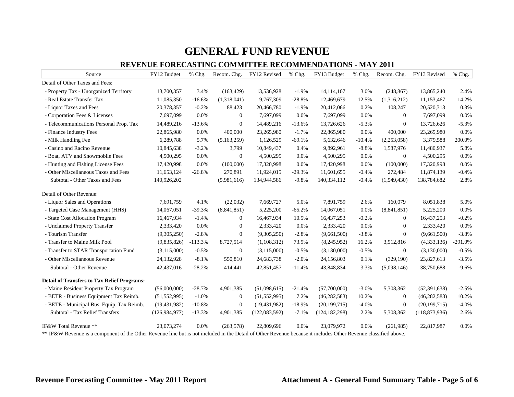| Source                                                                                                                                                          | FY12 Budget     | % Chg.    | Recom. Chg.      | FY12 Revised    | % Chg.   | FY13 Budget     | % Chg.   | Recom. Chg.      | FY13 Revised    | % Chg.    |
|-----------------------------------------------------------------------------------------------------------------------------------------------------------------|-----------------|-----------|------------------|-----------------|----------|-----------------|----------|------------------|-----------------|-----------|
| Detail of Other Taxes and Fees:                                                                                                                                 |                 |           |                  |                 |          |                 |          |                  |                 |           |
| - Property Tax - Unorganized Territory                                                                                                                          | 13,700,357      | 3.4%      | (163, 429)       | 13,536,928      | $-1.9%$  | 14,114,107      | 3.0%     | (248, 867)       | 13,865,240      | 2.4%      |
| - Real Estate Transfer Tax                                                                                                                                      | 11,085,350      | $-16.6%$  | (1,318,041)      | 9,767,309       | $-28.8%$ | 12,469,679      | 12.5%    | (1,316,212)      | 11,153,467      | 14.2%     |
| - Liquor Taxes and Fees                                                                                                                                         | 20,378,357      | $-0.2%$   | 88,423           | 20,466,780      | $-1.9%$  | 20,412,066      | 0.2%     | 108,247          | 20,520,313      | 0.3%      |
| - Corporation Fees & Licenses                                                                                                                                   | 7,697,099       | 0.0%      | $\theta$         | 7,697,099       | 0.0%     | 7,697,099       | 0.0%     | $\theta$         | 7,697,099       | 0.0%      |
| - Telecommunications Personal Prop. Tax                                                                                                                         | 14,489,216      | $-13.6%$  | $\boldsymbol{0}$ | 14,489,216      | $-13.6%$ | 13,726,626      | $-5.3%$  | $\theta$         | 13,726,626      | $-5.3%$   |
| - Finance Industry Fees                                                                                                                                         | 22,865,980      | 0.0%      | 400,000          | 23,265,980      | $-1.7%$  | 22,865,980      | 0.0%     | 400,000          | 23,265,980      | 0.0%      |
| - Milk Handling Fee                                                                                                                                             | 6,289,788       | 5.7%      | (5,163,259)      | 1,126,529       | $-69.1%$ | 5,632,646       | $-10.4%$ | (2,253,058)      | 3,379,588       | 200.0%    |
| - Casino and Racino Revenue                                                                                                                                     | 10,845,638      | $-3.2%$   | 3,799            | 10,849,437      | 0.4%     | 9,892,961       | $-8.8%$  | 1,587,976        | 11,480,937      | 5.8%      |
| - Boat, ATV and Snowmobile Fees                                                                                                                                 | 4,500,295       | 0.0%      | $\mathbf{0}$     | 4,500,295       | 0.0%     | 4,500,295       | 0.0%     | $\overline{0}$   | 4,500,295       | 0.0%      |
| - Hunting and Fishing License Fees                                                                                                                              | 17,420,998      | 0.0%      | (100,000)        | 17,320,998      | 0.0%     | 17,420,998      | 0.0%     | (100,000)        | 17,320,998      | 0.0%      |
| - Other Miscellaneous Taxes and Fees                                                                                                                            | 11,653,124      | $-26.8%$  | 270,891          | 11,924,015      | $-29.3%$ | 11,601,655      | $-0.4%$  | 272,484          | 11,874,139      | $-0.4%$   |
| Subtotal - Other Taxes and Fees                                                                                                                                 | 140,926,202     |           | (5,981,616)      | 134,944,586     | $-9.8%$  | 140,334,112     | $-0.4%$  | (1,549,430)      | 138,784,682     | 2.8%      |
| Detail of Other Revenue:                                                                                                                                        |                 |           |                  |                 |          |                 |          |                  |                 |           |
| - Liquor Sales and Operations                                                                                                                                   | 7,691,759       | 4.1%      | (22,032)         | 7,669,727       | 5.0%     | 7,891,759       | 2.6%     | 160,079          | 8,051,838       | 5.0%      |
| - Targeted Case Management (HHS)                                                                                                                                | 14,067,051      | $-39.3%$  | (8, 841, 851)    | 5,225,200       | $-65.2%$ | 14,067,051      | 0.0%     | (8,841,851)      | 5,225,200       | 0.0%      |
| - State Cost Allocation Program                                                                                                                                 | 16,467,934      | $-1.4%$   | $\boldsymbol{0}$ | 16,467,934      | 10.5%    | 16,437,253      | $-0.2%$  | $\mathbf{0}$     | 16,437,253      | $-0.2%$   |
| - Unclaimed Property Transfer                                                                                                                                   | 2,333,420       | 0.0%      | $\boldsymbol{0}$ | 2,333,420       | 0.0%     | 2,333,420       | 0.0%     | $\mathbf{0}$     | 2,333,420       | 0.0%      |
| - Tourism Transfer                                                                                                                                              | (9,305,250)     | $-2.8%$   | $\mathbf{0}$     | (9,305,250)     | $-2.8%$  | (9,661,500)     | $-3.8%$  | $\mathbf{0}$     | (9,661,500)     | $-3.8%$   |
| - Transfer to Maine Milk Pool                                                                                                                                   | (9,835,826)     | $-113.3%$ | 8,727,514        | (1,108,312)     | 73.9%    | (8,245,952)     | 16.2%    | 3,912,816        | (4,333,136)     | $-291.0%$ |
| - Transfer to STAR Transportation Fund                                                                                                                          | (3,115,000)     | $-0.5%$   | $\mathbf{0}$     | (3,115,000)     | $-0.5%$  | (3,130,000)     | $-0.5%$  | $\mathbf{0}$     | (3,130,000)     | $-0.5%$   |
| - Other Miscellaneous Revenue                                                                                                                                   | 24,132,928      | $-8.1%$   | 550,810          | 24,683,738      | $-2.0%$  | 24,156,803      | 0.1%     | (329, 190)       | 23,827,613      | $-3.5%$   |
| Subtotal - Other Revenue                                                                                                                                        | 42,437,016      | $-28.2%$  | 414,441          | 42,851,457      | $-11.4%$ | 43,848,834      | 3.3%     | (5,098,146)      | 38,750,688      | $-9.6%$   |
| <b>Detail of Transfers to Tax Relief Programs:</b>                                                                                                              |                 |           |                  |                 |          |                 |          |                  |                 |           |
| - Maine Resident Property Tax Program                                                                                                                           | (56,000,000)    | $-28.7%$  | 4,901,385        | (51,098,615)    | $-21.4%$ | (57,700,000)    | $-3.0%$  | 5,308,362        | (52, 391, 638)  | $-2.5%$   |
| - BETR - Business Equipment Tax Reimb.                                                                                                                          | (51, 552, 995)  | $-1.0%$   | $\mathbf{0}$     | (51, 552, 995)  | 7.2%     | (46, 282, 583)  | 10.2%    | $\boldsymbol{0}$ | (46, 282, 583)  | 10.2%     |
| - BETE - Municipal Bus. Equip. Tax Reimb.                                                                                                                       | (19, 431, 982)  | $-10.8%$  | $\boldsymbol{0}$ | (19, 431, 982)  | $-18.9%$ | (20, 199, 715)  | $-4.0%$  | $\boldsymbol{0}$ | (20, 199, 715)  | $-4.0%$   |
| Subtotal - Tax Relief Transfers                                                                                                                                 | (126, 984, 977) | $-13.3%$  | 4,901,385        | (122, 083, 592) | $-7.1%$  | (124, 182, 298) | 2.2%     | 5,308,362        | (118, 873, 936) | 2.6%      |
| IF&W Total Revenue **                                                                                                                                           | 23,073,274      | 0.0%      | (263, 578)       | 22,809,696      | 0.0%     | 23,079,972      | 0.0%     | (261,985)        | 22,817,987      | 0.0%      |
| ** IF&W Revenue is a component of the Other Revenue line but is not included in the Detail of Other Revenue because it includes Other Revenue classified above. |                 |           |                  |                 |          |                 |          |                  |                 |           |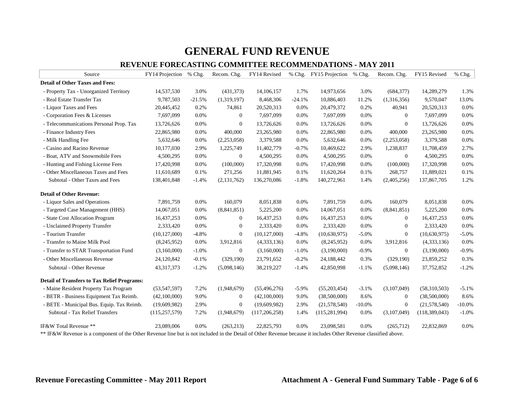| Source                                                                                                                                                          | FY14 Projection | % Chg.   | Recom. Chg.      | FY14 Revised    |          | % Chg. FY15 Projection | % Chg.   | Recom. Chg.      | FY15 Revised   | % Chg.   |
|-----------------------------------------------------------------------------------------------------------------------------------------------------------------|-----------------|----------|------------------|-----------------|----------|------------------------|----------|------------------|----------------|----------|
| <b>Detail of Other Taxes and Fees:</b>                                                                                                                          |                 |          |                  |                 |          |                        |          |                  |                |          |
| - Property Tax - Unorganized Territory                                                                                                                          | 14,537,530      | 3.0%     | (431, 373)       | 14,106,157      | 1.7%     | 14,973,656             | 3.0%     | (684, 377)       | 14,289,279     | 1.3%     |
| - Real Estate Transfer Tax                                                                                                                                      | 9,787,503       | $-21.5%$ | (1,319,197)      | 8,468,306       | $-24.1%$ | 10,886,403             | 11.2%    | (1,316,356)      | 9,570,047      | 13.0%    |
| - Liquor Taxes and Fees                                                                                                                                         | 20,445,452      | 0.2%     | 74,861           | 20,520,313      | 0.0%     | 20,479,372             | 0.2%     | 40,941           | 20,520,313     | 0.0%     |
| - Corporation Fees & Licenses                                                                                                                                   | 7,697,099       | 0.0%     | $\boldsymbol{0}$ | 7,697,099       | 0.0%     | 7,697,099              | 0.0%     | 0                | 7,697,099      | 0.0%     |
| - Telecommunications Personal Prop. Tax                                                                                                                         | 13,726,626      | 0.0%     | $\mathbf{0}$     | 13,726,626      | 0.0%     | 13,726,626             | 0.0%     | $\mathbf{0}$     | 13,726,626     | 0.0%     |
| - Finance Industry Fees                                                                                                                                         | 22,865,980      | 0.0%     | 400,000          | 23,265,980      | 0.0%     | 22,865,980             | 0.0%     | 400,000          | 23,265,980     | 0.0%     |
| - Milk Handling Fee                                                                                                                                             | 5,632,646       | 0.0%     | (2,253,058)      | 3,379,588       | 0.0%     | 5,632,646              | 0.0%     | (2,253,058)      | 3,379,588      | 0.0%     |
| - Casino and Racino Revenue                                                                                                                                     | 10,177,030      | 2.9%     | 1,225,749        | 11,402,779      | $-0.7%$  | 10,469,622             | 2.9%     | 1,238,837        | 11,708,459     | 2.7%     |
| - Boat, ATV and Snowmobile Fees                                                                                                                                 | 4,500,295       | 0.0%     | $\boldsymbol{0}$ | 4,500,295       | 0.0%     | 4,500,295              | 0.0%     | $\mathbf{0}$     | 4,500,295      | 0.0%     |
| - Hunting and Fishing License Fees                                                                                                                              | 17,420,998      | 0.0%     | (100,000)        | 17,320,998      | 0.0%     | 17,420,998             | 0.0%     | (100,000)        | 17,320,998     | 0.0%     |
| - Other Miscellaneous Taxes and Fees                                                                                                                            | 11,610,689      | 0.1%     | 271,256          | 11,881,945      | 0.1%     | 11,620,264             | 0.1%     | 268,757          | 11,889,021     | 0.1%     |
| Subtotal - Other Taxes and Fees                                                                                                                                 | 138,401,848     | $-1.4%$  | (2, 131, 762)    | 136,270,086     | $-1.8%$  | 140,272,961            | 1.4%     | (2,405,256)      | 137,867,705    | 1.2%     |
| <b>Detail of Other Revenue:</b>                                                                                                                                 |                 |          |                  |                 |          |                        |          |                  |                |          |
| - Liquor Sales and Operations                                                                                                                                   | 7,891,759       | 0.0%     | 160,079          | 8,051,838       | 0.0%     | 7,891,759              | 0.0%     | 160,079          | 8,051,838      | 0.0%     |
| - Targeted Case Management (HHS)                                                                                                                                | 14,067,051      | 0.0%     | (8,841,851)      | 5,225,200       | 0.0%     | 14,067,051             | 0.0%     | (8,841,851)      | 5,225,200      | 0.0%     |
| - State Cost Allocation Program                                                                                                                                 | 16,437,253      | 0.0%     | $\boldsymbol{0}$ | 16,437,253      | 0.0%     | 16,437,253             | 0.0%     | $\overline{0}$   | 16,437,253     | 0.0%     |
| - Unclaimed Property Transfer                                                                                                                                   | 2,333,420       | 0.0%     | $\boldsymbol{0}$ | 2,333,420       | 0.0%     | 2,333,420              | 0.0%     | $\boldsymbol{0}$ | 2,333,420      | 0.0%     |
| - Tourism Transfer                                                                                                                                              | (10, 127, 000)  | $-4.8%$  | $\boldsymbol{0}$ | (10, 127, 000)  | $-4.8%$  | (10,630,975)           | $-5.0%$  | $\overline{0}$   | (10,630,975)   | $-5.0%$  |
| - Transfer to Maine Milk Pool                                                                                                                                   | (8,245,952)     | 0.0%     | 3,912,816        | (4,333,136)     | 0.0%     | (8,245,952)            | 0.0%     | 3,912,816        | (4,333,136)    | 0.0%     |
| - Transfer to STAR Transportation Fund                                                                                                                          | (3,160,000)     | $-1.0%$  | $\boldsymbol{0}$ | (3,160,000)     | $-1.0%$  | (3,190,000)            | $-0.9%$  | $\overline{0}$   | (3,190,000)    | $-0.9%$  |
| - Other Miscellaneous Revenue                                                                                                                                   | 24,120,842      | $-0.1%$  | (329,190)        | 23,791,652      | $-0.2%$  | 24,188,442             | 0.3%     | (329, 190)       | 23,859,252     | 0.3%     |
| Subtotal - Other Revenue                                                                                                                                        | 43, 317, 373    | $-1.2%$  | (5,098,146)      | 38,219,227      | $-1.4%$  | 42,850,998             | $-1.1%$  | (5,098,146)      | 37,752,852     | $-1.2%$  |
| <b>Detail of Transfers to Tax Relief Programs:</b>                                                                                                              |                 |          |                  |                 |          |                        |          |                  |                |          |
| - Maine Resident Property Tax Program                                                                                                                           | (53,547,597)    | 7.2%     | (1,948,679)      | (55, 496, 276)  | $-5.9%$  | (55,203,454)           | $-3.1%$  | (3,107,049)      | (58,310,503)   | $-5.1%$  |
| - BETR - Business Equipment Tax Reimb.                                                                                                                          | (42,100,000)    | 9.0%     | $\boldsymbol{0}$ | (42,100,000)    | 9.0%     | (38,500,000)           | 8.6%     | $\mathbf{0}$     | (38,500,000)   | 8.6%     |
| - BETE - Municipal Bus. Equip. Tax Reimb.                                                                                                                       | (19,609,982)    | 2.9%     | $\boldsymbol{0}$ | (19,609,982)    | 2.9%     | (21,578,540)           | $-10.0%$ | $\boldsymbol{0}$ | (21, 578, 540) | $-10.0%$ |
| Subtotal - Tax Relief Transfers                                                                                                                                 | (115, 257, 579) | 7.2%     | (1,948,679)      | (117, 206, 258) | 1.4%     | (115, 281, 994)        | 0.0%     | (3,107,049)      | (118,389,043)  | $-1.0%$  |
| IF&W Total Revenue **                                                                                                                                           | 23,089,006      | 0.0%     | (263, 213)       | 22,825,793      | 0.0%     | 23,098,581             | 0.0%     | (265,712)        | 22,832,869     | 0.0%     |
| ** IF&W Revenue is a component of the Other Revenue line but is not included in the Detail of Other Revenue because it includes Other Revenue classified above. |                 |          |                  |                 |          |                        |          |                  |                |          |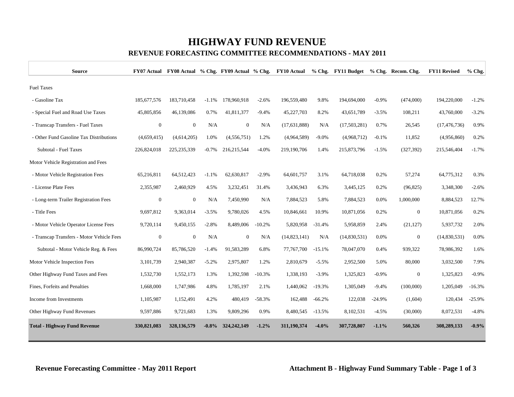# **HIGHWAY FUND REVENUE**

#### **REVENUE FORECASTING COMMITTEE RECOMMENDATIONS - MAY 2011**

| <b>Source</b>                             |              |               |          |                |          | FY07 Actual FY08 Actual % Chg. FY09 Actual % Chg. FY10 Actual |          | % Chg. FY11 Budget |          | % Chg. Recom. Chg. | <b>FY11 Revised</b> | $%$ Chg. |
|-------------------------------------------|--------------|---------------|----------|----------------|----------|---------------------------------------------------------------|----------|--------------------|----------|--------------------|---------------------|----------|
| <b>Fuel Taxes</b>                         |              |               |          |                |          |                                                               |          |                    |          |                    |                     |          |
| - Gasoline Tax                            | 185,677,576  | 183,710,458   | $-1.1%$  | 178,960,918    | $-2.6%$  | 196,559,480                                                   | 9.8%     | 194,694,000        | $-0.9%$  | (474,000)          | 194,220,000         | $-1.2%$  |
| - Special Fuel and Road Use Taxes         | 45,805,856   | 46,139,086    | 0.7%     | 41,811,377     | $-9.4%$  | 45,227,703                                                    | 8.2%     | 43,651,789         | $-3.5%$  | 108,211            | 43,760,000          | $-3.2%$  |
| - Transcap Transfers - Fuel Taxes         | $\mathbf{0}$ | $\mathbf{0}$  | N/A      | $\overline{0}$ | N/A      | (17, 631, 888)                                                | N/A      | (17,503,281)       | 0.7%     | 26,545             | (17, 476, 736)      | 0.9%     |
| - Other Fund Gasoline Tax Distributions   | (4,659,415)  | (4,614,205)   | 1.0%     | (4,556,751)    | 1.2%     | (4,964,589)                                                   | $-9.0\%$ | (4,968,712)        | $-0.1%$  | 11,852             | (4,956,860)         | 0.2%     |
| Subtotal - Fuel Taxes                     | 226,824,018  | 225, 235, 339 | $-0.7%$  | 216,215,544    | $-4.0%$  | 219,190,706                                                   | 1.4%     | 215,873,796        | $-1.5%$  | (327, 392)         | 215,546,404         | $-1.7%$  |
| Motor Vehicle Registration and Fees       |              |               |          |                |          |                                                               |          |                    |          |                    |                     |          |
| - Motor Vehicle Registration Fees         | 65,216,811   | 64,512,423    | $-1.1%$  | 62,630,817     | $-2.9%$  | 64,601,757                                                    | 3.1%     | 64,718,038         | 0.2%     | 57,274             | 64,775,312          | 0.3%     |
| - License Plate Fees                      | 2,355,987    | 2,460,929     | 4.5%     | 3,232,451      | 31.4%    | 3,436,943                                                     | 6.3%     | 3,445,125          | 0.2%     | (96, 825)          | 3,348,300           | $-2.6%$  |
| - Long-term Trailer Registration Fees     | $\mathbf{0}$ | $\mathbf{0}$  | N/A      | 7,450,990      | N/A      | 7,884,523                                                     | 5.8%     | 7,884,523          | 0.0%     | 1,000,000          | 8,884,523           | 12.7%    |
| - Title Fees                              | 9,697,812    | 9,363,014     | $-3.5%$  | 9,780,026      | 4.5%     | 10,846,661                                                    | 10.9%    | 10,871,056         | 0.2%     | $\mathbf{0}$       | 10,871,056          | 0.2%     |
| - Motor Vehicle Operator License Fees     | 9,720,114    | 9,450,155     | $-2.8%$  | 8,489,006      | $-10.2%$ | 5,820,958                                                     | $-31.4%$ | 5,958,859          | 2.4%     | (21, 127)          | 5,937,732           | 2.0%     |
| - Transcap Transfers - Motor Vehicle Fees | $\mathbf{0}$ | $\mathbf{0}$  | N/A      | $\overline{0}$ | N/A      | (14, 823, 141)                                                | N/A      | (14,830,531)       | 0.0%     | $\mathbf{0}$       | (14,830,531)        | 0.0%     |
| Subtotal - Motor Vehicle Reg. & Fees      | 86,990,724   | 85,786,520    | $-1.4%$  | 91,583,289     | 6.8%     | 77,767,700                                                    | $-15.1%$ | 78,047,070         | 0.4%     | 939,322            | 78,986,392          | 1.6%     |
| Motor Vehicle Inspection Fees             | 3,101,739    | 2,940,387     | $-5.2%$  | 2,975,807      | 1.2%     | 2,810,679                                                     | $-5.5\%$ | 2,952,500          | 5.0%     | 80,000             | 3,032,500           | 7.9%     |
| Other Highway Fund Taxes and Fees         | 1,532,730    | 1,552,173     | 1.3%     | 1,392,598      | $-10.3%$ | 1,338,193                                                     | $-3.9%$  | 1,325,823          | $-0.9\%$ | $\mathbf{0}$       | 1,325,823           | $-0.9%$  |
| Fines, Forfeits and Penalties             | 1,668,000    | 1,747,986     | 4.8%     | 1,785,197      | 2.1%     | 1,440,062                                                     | $-19.3%$ | 1,305,049          | $-9.4%$  | (100,000)          | 1,205,049           | $-16.3%$ |
| Income from Investments                   | 1,105,987    | 1,152,491     | 4.2%     | 480,419        | $-58.3%$ | 162,488                                                       | $-66.2%$ | 122,038            | $-24.9%$ | (1,604)            | 120,434             | $-25.9%$ |
| Other Highway Fund Revenues               | 9,597,886    | 9,721,683     | 1.3%     | 9,809,296      | 0.9%     | 8,480,545                                                     | $-13.5%$ | 8,102,531          | $-4.5%$  | (30,000)           | 8,072,531           | $-4.8%$  |
| <b>Total - Highway Fund Revenue</b>       | 330,821,083  | 328,136,579   | $-0.8\%$ | 324, 242, 149  | $-1.2%$  | 311,190,374                                                   | $-4.0%$  | 307,728,807        | $-1.1%$  | 560,326            | 308,289,133         | $-0.9%$  |

**Revenue Forecasting Committee - May 2011 Report Attachment B - Highway Fund Summary Table - Page 1 of 3**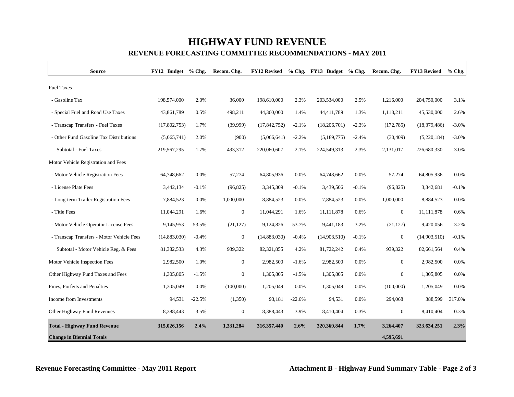# **HIGHWAY FUND REVENUE**

| <b>Source</b>                             | FY12 Budget  | $%$ Chg. | Recom. Chg.    | <b>FY12 Revised</b> | $%$ Chg. | FY13 Budget % Chg. |         | Recom. Chg.    | <b>FY13 Revised</b> | $%$ Chg. |
|-------------------------------------------|--------------|----------|----------------|---------------------|----------|--------------------|---------|----------------|---------------------|----------|
| <b>Fuel Taxes</b>                         |              |          |                |                     |          |                    |         |                |                     |          |
| - Gasoline Tax                            | 198,574,000  | 2.0%     | 36,000         | 198,610,000         | 2.3%     | 203,534,000        | 2.5%    | 1,216,000      | 204,750,000         | 3.1%     |
| - Special Fuel and Road Use Taxes         | 43,861,789   | 0.5%     | 498,211        | 44,360,000          | 1.4%     | 44,411,789         | 1.3%    | 1,118,211      | 45,530,000          | 2.6%     |
| - Transcap Transfers - Fuel Taxes         | (17,802,753) | 1.7%     | (39,999)       | (17, 842, 752)      | $-2.1%$  | (18,206,701)       | $-2.3%$ | (172, 785)     | (18, 379, 486)      | $-3.0%$  |
| - Other Fund Gasoline Tax Distributions   | (5,065,741)  | 2.0%     | (900)          | (5,066,641)         | $-2.2%$  | (5,189,775)        | $-2.4%$ | (30, 409)      | (5,220,184)         | $-3.0%$  |
| Subtotal - Fuel Taxes                     | 219,567,295  | 1.7%     | 493,312        | 220,060,607         | 2.1%     | 224,549,313        | 2.3%    | 2,131,017      | 226,680,330         | 3.0%     |
| Motor Vehicle Registration and Fees       |              |          |                |                     |          |                    |         |                |                     |          |
| - Motor Vehicle Registration Fees         | 64,748,662   | 0.0%     | 57,274         | 64,805,936          | 0.0%     | 64,748,662         | 0.0%    | 57,274         | 64,805,936          | 0.0%     |
| - License Plate Fees                      | 3,442,134    | $-0.1%$  | (96, 825)      | 3,345,309           | $-0.1%$  | 3,439,506          | $-0.1%$ | (96, 825)      | 3,342,681           | $-0.1%$  |
| - Long-term Trailer Registration Fees     | 7,884,523    | 0.0%     | 1,000,000      | 8,884,523           | 0.0%     | 7,884,523          | 0.0%    | 1,000,000      | 8,884,523           | 0.0%     |
| - Title Fees                              | 11,044,291   | 1.6%     | $\overline{0}$ | 11,044,291          | 1.6%     | 11,111,878         | 0.6%    | $\mathbf{0}$   | 11,111,878          | 0.6%     |
| - Motor Vehicle Operator License Fees     | 9,145,953    | 53.5%    | (21, 127)      | 9,124,826           | 53.7%    | 9,441,183          | 3.2%    | (21, 127)      | 9,420,056           | 3.2%     |
| - Transcap Transfers - Motor Vehicle Fees | (14,883,030) | $-0.4%$  | $\mathbf{0}$   | (14,883,030)        | $-0.4%$  | (14,903,510)       | $-0.1%$ | $\mathbf{0}$   | (14,903,510)        | $-0.1%$  |
| Subtotal - Motor Vehicle Reg. & Fees      | 81,382,533   | 4.3%     | 939,322        | 82,321,855          | 4.2%     | 81,722,242         | 0.4%    | 939,322        | 82,661,564          | 0.4%     |
| Motor Vehicle Inspection Fees             | 2,982,500    | 1.0%     | $\overline{0}$ | 2,982,500           | $-1.6%$  | 2,982,500          | 0.0%    | $\overline{0}$ | 2,982,500           | 0.0%     |
| Other Highway Fund Taxes and Fees         | 1,305,805    | $-1.5%$  | $\overline{0}$ | 1,305,805           | $-1.5%$  | 1,305,805          | 0.0%    | $\overline{0}$ | 1,305,805           | 0.0%     |
| Fines, Forfeits and Penalties             | 1,305,049    | 0.0%     | (100,000)      | 1,205,049           | 0.0%     | 1,305,049          | 0.0%    | (100,000)      | 1,205,049           | 0.0%     |
| Income from Investments                   | 94,531       | $-22.5%$ | (1,350)        | 93,181              | $-22.6%$ | 94,531             | 0.0%    | 294,068        | 388,599             | 317.0%   |
| Other Highway Fund Revenues               | 8,388,443    | 3.5%     | $\overline{0}$ | 8,388,443           | 3.9%     | 8,410,404          | 0.3%    | $\overline{0}$ | 8,410,404           | 0.3%     |
| <b>Total - Highway Fund Revenue</b>       | 315,026,156  | 2.4%     | 1,331,284      | 316,357,440         | 2.6%     | 320,369,844        | 1.7%    | 3,264,407      | 323,634,251         | 2.3%     |
| <b>Change in Biennial Totals</b>          |              |          |                |                     |          |                    |         | 4,595,691      |                     |          |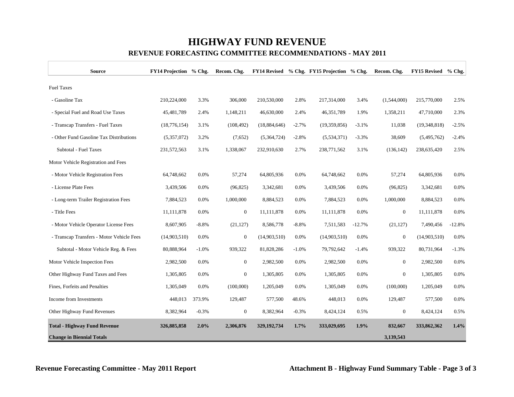# **HIGHWAY FUND REVENUE**

| <b>Source</b>                             | FY14 Projection % Chg. |         | Recom. Chg.      |                |         | FY14 Revised % Chg. FY15 Projection % Chg. |          | Recom. Chg.      | <b>FY15 Revised</b> | $%$ Chg. |
|-------------------------------------------|------------------------|---------|------------------|----------------|---------|--------------------------------------------|----------|------------------|---------------------|----------|
| <b>Fuel Taxes</b>                         |                        |         |                  |                |         |                                            |          |                  |                     |          |
| - Gasoline Tax                            | 210,224,000            | 3.3%    | 306,000          | 210,530,000    | 2.8%    | 217,314,000                                | 3.4%     | (1,544,000)      | 215,770,000         | 2.5%     |
| - Special Fuel and Road Use Taxes         | 45,481,789             | 2.4%    | 1,148,211        | 46,630,000     | 2.4%    | 46,351,789                                 | 1.9%     | 1,358,211        | 47,710,000          | 2.3%     |
| - Transcap Transfers - Fuel Taxes         | (18, 776, 154)         | 3.1%    | (108, 492)       | (18, 884, 646) | $-2.7%$ | (19,359,856)                               | $-3.1%$  | 11,038           | (19,348,818)        | $-2.5%$  |
| - Other Fund Gasoline Tax Distributions   | (5,357,072)            | 3.2%    | (7,652)          | (5,364,724)    | $-2.8%$ | (5,534,371)                                | $-3.3%$  | 38,609           | (5,495,762)         | $-2.4%$  |
| Subtotal - Fuel Taxes                     | 231,572,563            | 3.1%    | 1,338,067        | 232,910,630    | 2.7%    | 238,771,562                                | 3.1%     | (136, 142)       | 238,635,420         | 2.5%     |
| Motor Vehicle Registration and Fees       |                        |         |                  |                |         |                                            |          |                  |                     |          |
| - Motor Vehicle Registration Fees         | 64,748,662             | 0.0%    | 57,274           | 64,805,936     | 0.0%    | 64,748,662                                 | 0.0%     | 57,274           | 64,805,936          | 0.0%     |
| - License Plate Fees                      | 3,439,506              | 0.0%    | (96, 825)        | 3,342,681      | 0.0%    | 3,439,506                                  | 0.0%     | (96, 825)        | 3,342,681           | 0.0%     |
| - Long-term Trailer Registration Fees     | 7,884,523              | 0.0%    | 1,000,000        | 8,884,523      | 0.0%    | 7,884,523                                  | 0.0%     | 1,000,000        | 8,884,523           | 0.0%     |
| - Title Fees                              | 11,111,878             | 0.0%    | $\boldsymbol{0}$ | 11,111,878     | 0.0%    | 11,111,878                                 | 0.0%     | $\boldsymbol{0}$ | 11,111,878          | 0.0%     |
| - Motor Vehicle Operator License Fees     | 8,607,905              | $-8.8%$ | (21, 127)        | 8,586,778      | $-8.8%$ | 7,511,583                                  | $-12.7%$ | (21, 127)        | 7,490,456           | $-12.8%$ |
| - Transcap Transfers - Motor Vehicle Fees | (14,903,510)           | 0.0%    | $\boldsymbol{0}$ | (14,903,510)   | 0.0%    | (14,903,510)                               | 0.0%     | $\boldsymbol{0}$ | (14,903,510)        | 0.0%     |
| Subtotal - Motor Vehicle Reg. & Fees      | 80,888,964             | $-1.0%$ | 939,322          | 81,828,286     | $-1.0%$ | 79,792,642                                 | $-1.4%$  | 939,322          | 80,731,964          | $-1.3%$  |
| Motor Vehicle Inspection Fees             | 2,982,500              | 0.0%    | $\boldsymbol{0}$ | 2,982,500      | 0.0%    | 2,982,500                                  | 0.0%     | $\overline{0}$   | 2,982,500           | 0.0%     |
| Other Highway Fund Taxes and Fees         | 1,305,805              | 0.0%    | $\overline{0}$   | 1,305,805      | 0.0%    | 1,305,805                                  | 0.0%     | $\overline{0}$   | 1,305,805           | 0.0%     |
| Fines, Forfeits and Penalties             | 1,305,049              | 0.0%    | (100,000)        | 1,205,049      | 0.0%    | 1,305,049                                  | 0.0%     | (100,000)        | 1,205,049           | 0.0%     |
| Income from Investments                   | 448,013                | 373.9%  | 129,487          | 577,500        | 48.6%   | 448,013                                    | 0.0%     | 129,487          | 577,500             | 0.0%     |
| Other Highway Fund Revenues               | 8,382,964              | $-0.3%$ | $\overline{0}$   | 8,382,964      | $-0.3%$ | 8,424,124                                  | 0.5%     | $\overline{0}$   | 8,424,124           | 0.5%     |
| <b>Total - Highway Fund Revenue</b>       | 326,885,858            | 2.0%    | 2,306,876        | 329, 192, 734  | 1.7%    | 333,029,695                                | 1.9%     | 832,667          | 333,862,362         | 1.4%     |
| <b>Change in Biennial Totals</b>          |                        |         |                  |                |         |                                            |          | 3,139,543        |                     |          |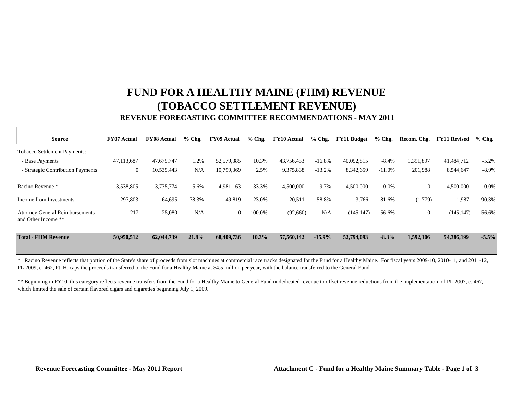# **FUND FOR A HEALTHY MAINE (FHM) REVENUE (TOBACCO SETTLEMENT REVENUE)**

### **REVENUE FORECASTING COMMITTEE RECOMMENDATIONS - MAY 2011**

| <b>Source</b>                                                 | <b>FY07 Actual</b> | <b>FY08 Actual</b> | $%$ Chg. | <b>FY09 Actual</b> | $%$ Chg.   | <b>FY10 Actual</b> | $%$ Chg. | <b>FY11 Budget</b> | $%$ Chg. | Recom. Chg.    | <b>FY11 Revised</b> | $%$ Chg. |
|---------------------------------------------------------------|--------------------|--------------------|----------|--------------------|------------|--------------------|----------|--------------------|----------|----------------|---------------------|----------|
| <b>Tobacco Settlement Payments:</b>                           |                    |                    |          |                    |            |                    |          |                    |          |                |                     |          |
| - Base Payments                                               | 47,113,687         | 47,679,747         | 1.2%     | 52,579,385         | 10.3%      | 43,756,453         | $-16.8%$ | 40,092,815         | $-8.4%$  | 1,391,897      | 41,484,712          | $-5.2%$  |
| - Strategic Contribution Payments                             | $\overline{0}$     | 10,539,443         | N/A      | 10,799,369         | 2.5%       | 9,375,838          | $-13.2%$ | 8,342,659          | $-11.0%$ | 201,988        | 8,544,647           | $-8.9\%$ |
| Racino Revenue *                                              | 3,538,805          | 3,735,774          | 5.6%     | 4,981,163          | 33.3%      | 4,500,000          | $-9.7\%$ | 4,500,000          | 0.0%     | $\mathbf{0}$   | 4,500,000           | $0.0\%$  |
| Income from Investments                                       | 297,803            | 64,695             | $-78.3%$ | 49,819             | $-23.0%$   | 20,511             | $-58.8%$ | 3,766              | $-81.6%$ | (1,779)        | 1,987               | $-90.3%$ |
| <b>Attorney General Reimbursements</b><br>and Other Income ** | 217                | 25,080             | N/A      | $\overline{0}$     | $-100.0\%$ | (92,660)           | N/A      | (145, 147)         | $-56.6%$ | $\overline{0}$ | (145, 147)          | $-56.6%$ |
| <b>Total - FHM Revenue</b>                                    | 50,950,512         | 62,044,739         | 21.8%    | 68,409,736         | $10.3\%$   | 57,560,142         | $-15.9%$ | 52,794,093         | $-8.3%$  | 1,592,106      | 54,386,199          | $-5.5\%$ |

\* Racino Revenue reflects that portion of the State's share of proceeds from slot machines at commercial race tracks designated for the Fund for a Healthy Maine. For fiscal years 2009-10, 2010-11, and 2011-12, PL 2009, c. 462, Pt. H. caps the proceeds transferred to the Fund for a Healthy Maine at \$4.5 million per year, with the balance transferred to the General Fund.

\*\* Beginning in FY10, this category reflects revenue transfers from the Fund for a Healthy Maine to General Fund undedicated revenue to offset revenue reductions from the implementation of PL 2007, c. 467, which limited the sale of certain flavored cigars and cigarettes beginning July 1, 2009.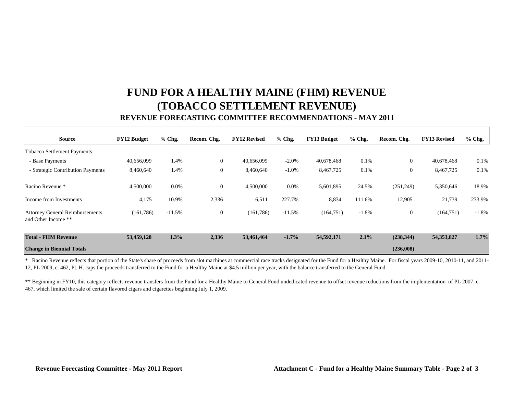# **FUND FOR A HEALTHY MAINE (FHM) REVENUE (TOBACCO SETTLEMENT REVENUE)**

### **REVENUE FORECASTING COMMITTEE RECOMMENDATIONS - MAY 2011**

| <b>Source</b>                                                 | <b>FY12 Budget</b> | % Chg.   | Recom. Chg.    | <b>FY12 Revised</b> | % Chg.   | <b>FY13 Budget</b> | $%$ Chg. | Recom. Chg.    | <b>FY13 Revised</b> | $%$ Chg. |
|---------------------------------------------------------------|--------------------|----------|----------------|---------------------|----------|--------------------|----------|----------------|---------------------|----------|
| <b>Tobacco Settlement Payments:</b>                           |                    |          |                |                     |          |                    |          |                |                     |          |
| - Base Payments                                               | 40,656,099         | 1.4%     | $\mathbf{0}$   | 40.656.099          | $-2.0%$  | 40,678,468         | 0.1%     | $\mathbf{0}$   | 40,678,468          | 0.1%     |
| - Strategic Contribution Payments                             | 8,460,640          | 1.4%     | $\overline{0}$ | 8,460,640           | $-1.0\%$ | 8,467,725          | 0.1%     | $\overline{0}$ | 8,467,725           | 0.1%     |
| Racino Revenue *                                              | 4,500,000          | 0.0%     | $\overline{0}$ | 4,500,000           | 0.0%     | 5,601,895          | 24.5%    | (251, 249)     | 5,350,646           | 18.9%    |
| Income from Investments                                       | 4,175              | 10.9%    | 2,336          | 6,511               | 227.7%   | 8,834              | 111.6%   | 12,905         | 21,739              | 233.9%   |
| <b>Attorney General Reimbursements</b><br>and Other Income ** | (161,786)          | $-11.5%$ | $\overline{0}$ | (161,786)           | $-11.5%$ | (164, 751)         | $-1.8%$  | $\mathbf{0}$   | (164, 751)          | $-1.8%$  |
| <b>Total - FHM Revenue</b>                                    | 53,459,128         | 1.3%     | 2,336          | 53,461,464          | $-1.7%$  | 54,592,171         | 2.1%     | (238, 344)     | 54,353,827          | 1.7%     |
| <b>Change in Biennial Totals</b>                              |                    |          |                |                     |          |                    |          | (236,008)      |                     |          |

\* Racino Revenue reflects that portion of the State's share of proceeds from slot machines at commercial race tracks designated for the Fund for a Healthy Maine. For fiscal years 2009-10, 2010-11, and 2011- 12, PL 2009, c. 462, Pt. H. caps the proceeds transferred to the Fund for a Healthy Maine at \$4.5 million per year, with the balance transferred to the General Fund.

\*\* Beginning in FY10, this category reflects revenue transfers from the Fund for a Healthy Maine to General Fund undedicated revenue to offset revenue reductions from the implementation of PL 2007, c. 467, which limited the sale of certain flavored cigars and cigarettes beginning July 1, 2009.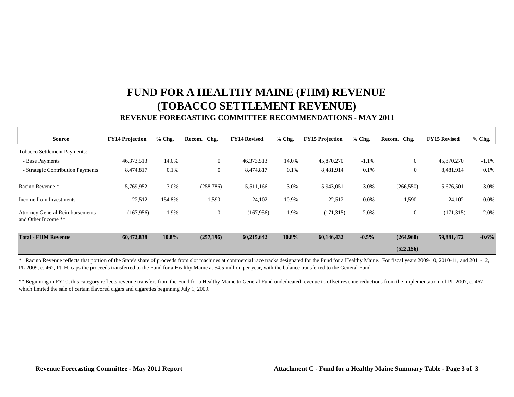# **FUND FOR A HEALTHY MAINE (FHM) REVENUE (TOBACCO SETTLEMENT REVENUE)**

### **REVENUE FORECASTING COMMITTEE RECOMMENDATIONS - MAY 2011**

| <b>Source</b>                                                 | <b>FY14 Projection</b> | $%$ Chg. | Recom. Chg.      | <b>FY14 Revised</b> | $%$ Chg. | <b>FY15 Projection</b> | $%$ Chg. | Recom. Chg.    | <b>FY15 Revised</b> | $%$ Chg. |
|---------------------------------------------------------------|------------------------|----------|------------------|---------------------|----------|------------------------|----------|----------------|---------------------|----------|
| Tobacco Settlement Payments:                                  |                        |          |                  |                     |          |                        |          |                |                     |          |
| - Base Payments                                               | 46,373,513             | 14.0%    | $\boldsymbol{0}$ | 46,373,513          | 14.0%    | 45,870,270             | $-1.1%$  | $\overline{0}$ | 45,870,270          | $-1.1\%$ |
| - Strategic Contribution Payments                             | 8,474,817              | 0.1%     | $\boldsymbol{0}$ | 8,474,817           | 0.1%     | 8,481,914              | 0.1%     | $\mathbf{0}$   | 8,481,914           | 0.1%     |
| Racino Revenue *                                              | 5,769,952              | 3.0%     | (258, 786)       | 5,511,166           | 3.0%     | 5,943,051              | 3.0%     | (266, 550)     | 5,676,501           | 3.0%     |
| Income from Investments                                       | 22,512                 | 154.8%   | 1,590            | 24,102              | 10.9%    | 22,512                 | $0.0\%$  | 1,590          | 24,102              | $0.0\%$  |
| <b>Attorney General Reimbursements</b><br>and Other Income ** | (167, 956)             | $-1.9%$  | $\boldsymbol{0}$ | (167, 956)          | $-1.9%$  | (171, 315)             | $-2.0\%$ | $\overline{0}$ | (171, 315)          | $-2.0\%$ |
| <b>Total - FHM Revenue</b>                                    | 60,472,838             | 10.8%    | (257,196)        | 60,215,642          | 10.8%    | 60,146,432             | $-0.5%$  | (264,960)      | 59,881,472          | $-0.6\%$ |
|                                                               |                        |          |                  |                     |          |                        |          | (522, 156)     |                     |          |

\* Racino Revenue reflects that portion of the State's share of proceeds from slot machines at commercial race tracks designated for the Fund for a Healthy Maine. For fiscal years 2009-10, 2010-11, and 2011-12, PL 2009, c. 462, Pt. H. caps the proceeds transferred to the Fund for a Healthy Maine at \$4.5 million per year, with the balance transferred to the General Fund.

\*\* Beginning in FY10, this category reflects revenue transfers from the Fund for a Healthy Maine to General Fund undedicated revenue to offset revenue reductions from the implementation of PL 2007, c. 467, which limited the sale of certain flavored cigars and cigarettes beginning July 1, 2009.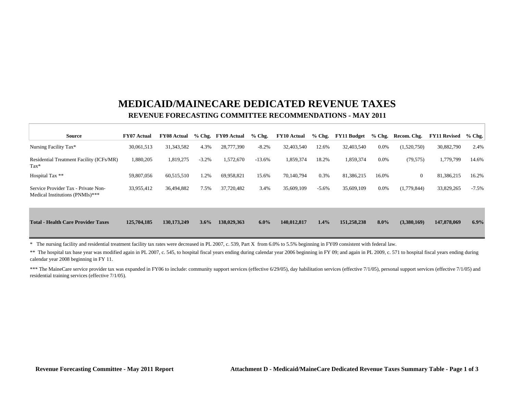### **MEDICAID/MAINECARE DEDICATED REVENUE TAXES REVENUE FORECASTING COMMITTEE RECOMMENDATIONS - MAY 2011**

| <b>Source</b>                                                          | <b>FY07 Actual</b> | <b>FY08 Actual</b> |         | % Chg. FY09 Actual | $%$ Chg. | <b>FY10 Actual</b> | $%$ Chg. | <b>FY11 Budget</b> | $%$ Chg. | Recom. Chg.  | <b>FY11 Revised</b> | $%$ Chg. |
|------------------------------------------------------------------------|--------------------|--------------------|---------|--------------------|----------|--------------------|----------|--------------------|----------|--------------|---------------------|----------|
| Nursing Facility Tax*                                                  | 30,061,513         | 31, 343, 582       | 4.3%    | 28,777,390         | $-8.2%$  | 32,403,540         | 12.6%    | 32,403,540         | 0.0%     | (1,520,750)  | 30,882,790          | 2.4%     |
| Residential Treatment Facility (ICFs/MR)<br>$\text{Tax*}$              | 1,880,205          | 1,819,275          | $-3.2%$ | 1,572,670          | $-13.6%$ | 1,859,374          | 18.2%    | 1,859,374          | 0.0%     | (79, 575)    | 1,779,799           | 14.6%    |
| Hospital Tax **                                                        | 59,807,056         | 60,515,510         | 1.2%    | 69,958,821         | 15.6%    | 70,140,794         | 0.3%     | 81,386,215         | 16.0%    | $\mathbf{0}$ | 81,386,215          | 16.2%    |
| Service Provider Tax - Private Non-<br>Medical Institutions (PNMIs)*** | 33,955,412         | 36,494,882         | 7.5%    | 37,720,482         | 3.4%     | 35,609,109         | $-5.6%$  | 35,609,109         | 0.0%     | (1,779,844)  | 33,829,265          | $-7.5%$  |
| <b>Total - Health Care Provider Taxes</b>                              | 125,704,185        | 130,173,249        | 3.6%    | 138,029,363        | $6.0\%$  | 140,012,817        | $1.4\%$  | 151,258,238        | $8.0\%$  | (3,380,169)  | 147,878,069         | $6.9\%$  |

\* The nursing facility and residential treatment facility tax rates were decreased in PL 2007, c. 539, Part X from 6.0% to 5.5% beginning in FY09 consistent with federal law.

\*\* The hospital tax base year was modified again in PL 2007, c. 545, to hospital fiscal years ending during calendar year 2006 beginning in FY 09; and again in PL 2009, c. 571 to hospital fiscal years ending during calendar year 2008 beginning in FY 11.

\*\*\* The MaineCare service provider tax was expanded in FY06 to include: community support services (effective 6/29/05), day habilitation services (effective 7/1/05), personal support services (effective 7/1/05) and residential training services (effective 7/1/05).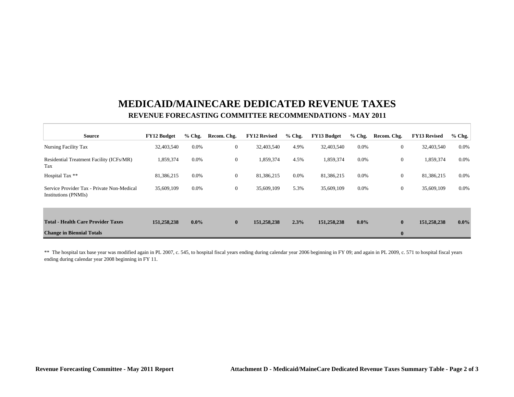### **MEDICAID/MAINECARE DEDICATED REVENUE TAXES REVENUE FORECASTING COMMITTEE RECOMMENDATIONS - MAY 2011**

| <b>Source</b>                                                      | <b>FY12 Budget</b> | $%$ Chg. | Recom. Chg.  | <b>FY12 Revised</b> | $%$ Chg. | <b>FY13 Budget</b> | $%$ Chg. | Recom. Chg.      | <b>FY13 Revised</b> | $%$ Chg. |
|--------------------------------------------------------------------|--------------------|----------|--------------|---------------------|----------|--------------------|----------|------------------|---------------------|----------|
| Nursing Facility Tax                                               | 32,403,540         | $0.0\%$  | $\mathbf{0}$ | 32,403,540          | 4.9%     | 32,403,540         | 0.0%     | $\boldsymbol{0}$ | 32,403,540          | 0.0%     |
| Residential Treatment Facility (ICFs/MR)<br>Tax                    | 1,859,374          | $0.0\%$  | $\mathbf{0}$ | 1,859,374           | 4.5%     | 1,859,374          | $0.0\%$  | $\mathbf{0}$     | 1,859,374           | 0.0%     |
| Hospital Tax **                                                    | 81,386,215         | $0.0\%$  | $\mathbf{0}$ | 81,386,215          | 0.0%     | 81,386,215         | $0.0\%$  | $\boldsymbol{0}$ | 81,386,215          | 0.0%     |
| Service Provider Tax - Private Non-Medical<br>Institutions (PNMIs) | 35,609,109         | $0.0\%$  | $\mathbf{0}$ | 35,609,109          | 5.3%     | 35,609,109         | 0.0%     | $\boldsymbol{0}$ | 35,609,109          | 0.0%     |
|                                                                    |                    |          |              |                     |          |                    |          |                  |                     |          |
| <b>Total - Health Care Provider Taxes</b>                          | 151,258,238        | $0.0\%$  | $\mathbf{0}$ | 151,258,238         | 2.3%     | 151,258,238        | $0.0\%$  | $\bf{0}$         | 151,258,238         | $0.0\%$  |
| <b>Change in Biennial Totals</b>                                   |                    |          |              |                     |          |                    |          | $\bf{0}$         |                     |          |

\*\* The hospital tax base year was modified again in PL 2007, c. 545, to hospital fiscal years ending during calendar year 2006 beginning in FY 09; and again in PL 2009, c. 571 to hospital fiscal years ending during calendar year 2008 beginning in FY 11.